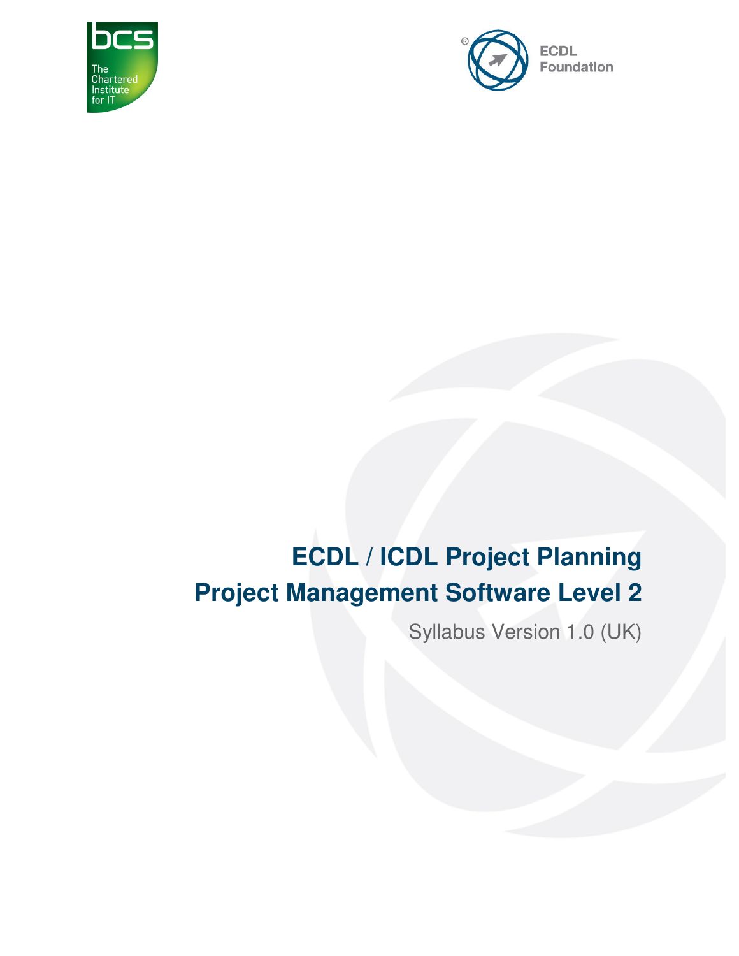



# **ECDL / ICDL Project Planning Project Management Software Level 2**

Syllabus Version 1.0 (UK)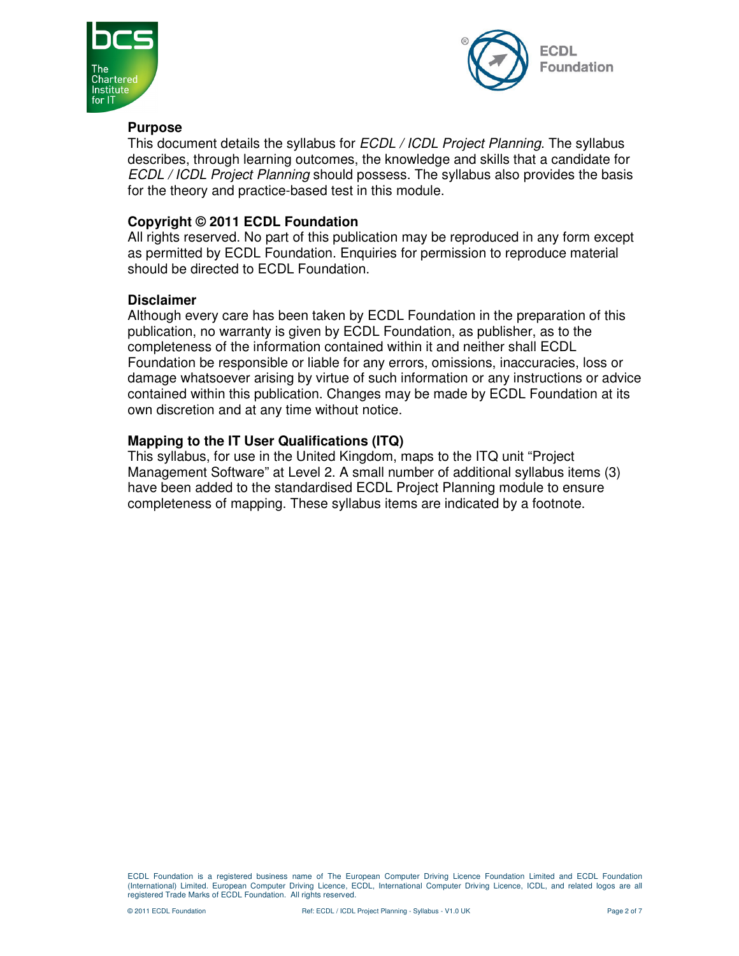



#### **Purpose**

This document details the syllabus for *ECDL / ICDL Project Planning*. The syllabus describes, through learning outcomes, the knowledge and skills that a candidate for ECDL / ICDL Project Planning should possess. The syllabus also provides the basis for the theory and practice-based test in this module.

#### **Copyright © 2011 ECDL Foundation**

All rights reserved. No part of this publication may be reproduced in any form except as permitted by ECDL Foundation. Enquiries for permission to reproduce material should be directed to ECDL Foundation.

#### **Disclaimer**

Although every care has been taken by ECDL Foundation in the preparation of this publication, no warranty is given by ECDL Foundation, as publisher, as to the completeness of the information contained within it and neither shall ECDL Foundation be responsible or liable for any errors, omissions, inaccuracies, loss or damage whatsoever arising by virtue of such information or any instructions or advice contained within this publication. Changes may be made by ECDL Foundation at its own discretion and at any time without notice.

#### **Mapping to the IT User Qualifications (ITQ)**

This syllabus, for use in the United Kingdom, maps to the ITQ unit "Project Management Software" at Level 2. A small number of additional syllabus items (3) have been added to the standardised ECDL Project Planning module to ensure completeness of mapping. These syllabus items are indicated by a footnote.

ECDL Foundation is a registered business name of The European Computer Driving Licence Foundation Limited and ECDL Foundation (International) Limited. European Computer Driving Licence, ECDL, International Computer Driving Licence, ICDL, and related logos are all registered Trade Marks of ECDL Foundation. All rights reserved.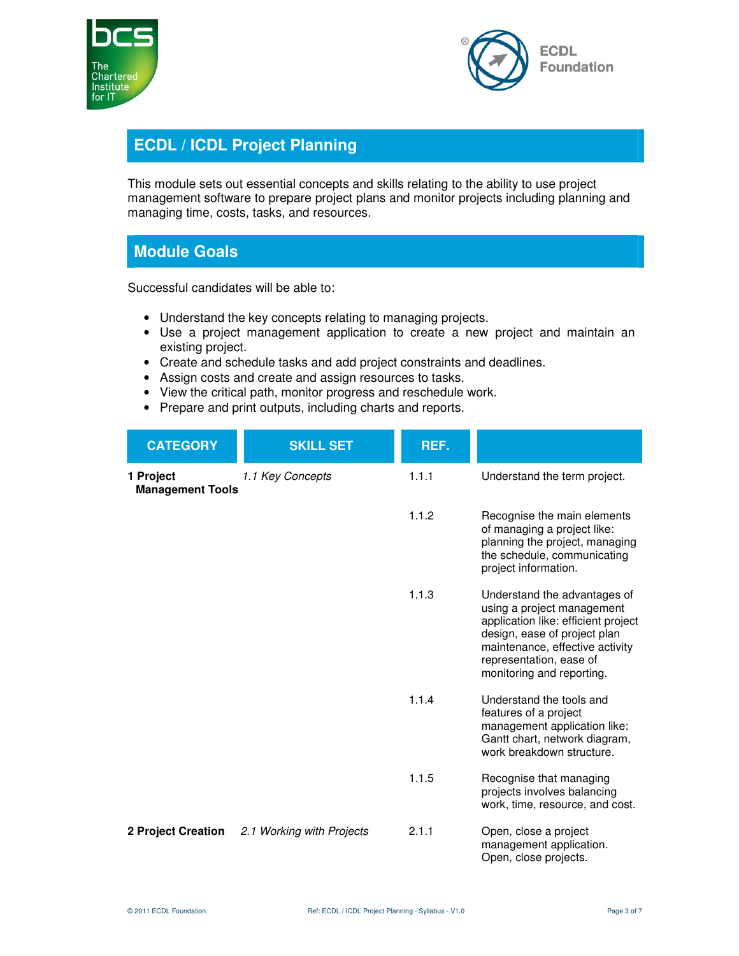



## **ECDL / ICDL Project Planning**

This module sets out essential concepts and skills relating to the ability to use project management software to prepare project plans and monitor projects including planning and managing time, costs, tasks, and resources.

### **Module Goals**

Successful candidates will be able to:

- Understand the key concepts relating to managing projects.
- Use a project management application to create a new project and maintain an existing project.
- Create and schedule tasks and add project constraints and deadlines.
- Assign costs and create and assign resources to tasks.
- View the critical path, monitor progress and reschedule work.
- Prepare and print outputs, including charts and reports.

| <b>CATEGORY</b>                      | <b>SKILL SET</b>          | REF.  |                                                                                                                                                                                                                              |
|--------------------------------------|---------------------------|-------|------------------------------------------------------------------------------------------------------------------------------------------------------------------------------------------------------------------------------|
| 1 Project<br><b>Management Tools</b> | 1.1 Key Concepts          | 1.1.1 | Understand the term project.                                                                                                                                                                                                 |
|                                      |                           | 1.1.2 | Recognise the main elements<br>of managing a project like:<br>planning the project, managing<br>the schedule, communicating<br>project information.                                                                          |
|                                      |                           | 1.1.3 | Understand the advantages of<br>using a project management<br>application like: efficient project<br>design, ease of project plan<br>maintenance, effective activity<br>representation, ease of<br>monitoring and reporting. |
|                                      |                           | 1.1.4 | Understand the tools and<br>features of a project<br>management application like:<br>Gantt chart, network diagram,<br>work breakdown structure.                                                                              |
|                                      |                           | 1.1.5 | Recognise that managing<br>projects involves balancing<br>work, time, resource, and cost.                                                                                                                                    |
| <b>2 Project Creation</b>            | 2.1 Working with Projects | 2.1.1 | Open, close a project<br>management application.<br>Open, close projects.                                                                                                                                                    |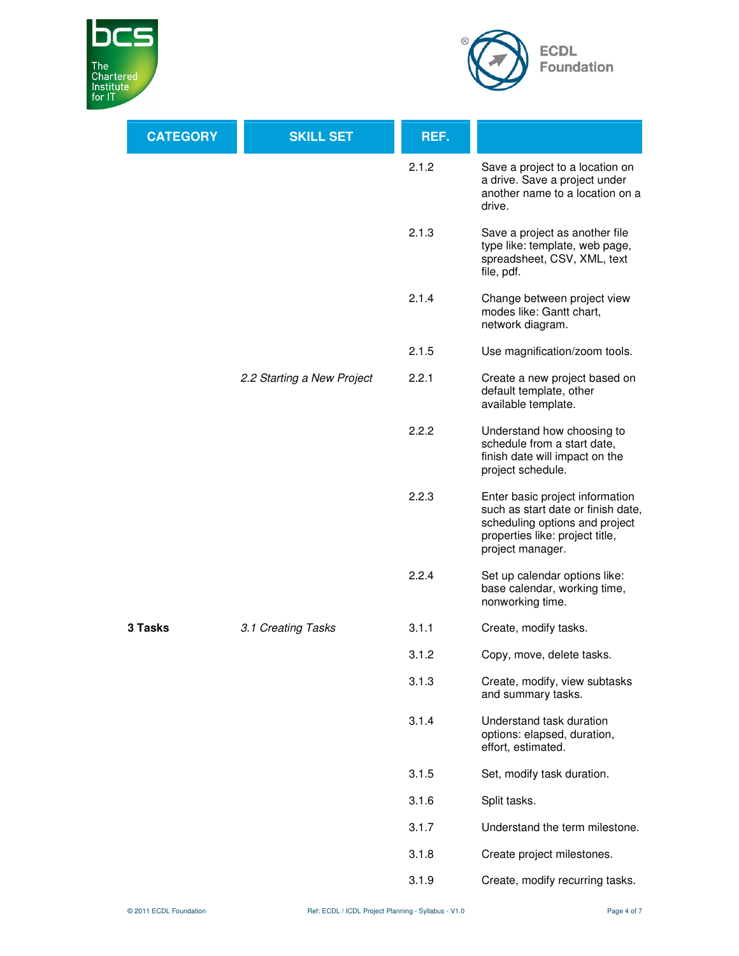



| <b>CATEGORY</b> | <b>SKILL SET</b>           | REF.  |                                                                                                                                                                |
|-----------------|----------------------------|-------|----------------------------------------------------------------------------------------------------------------------------------------------------------------|
|                 |                            | 2.1.2 | Save a project to a location on<br>a drive. Save a project under<br>another name to a location on a<br>drive.                                                  |
|                 |                            | 2.1.3 | Save a project as another file<br>type like: template, web page,<br>spreadsheet, CSV, XML, text<br>file, pdf.                                                  |
|                 |                            | 2.1.4 | Change between project view<br>modes like: Gantt chart,<br>network diagram.                                                                                    |
|                 |                            | 2.1.5 | Use magnification/zoom tools.                                                                                                                                  |
|                 | 2.2 Starting a New Project | 2.2.1 | Create a new project based on<br>default template, other<br>available template.                                                                                |
|                 |                            | 2.2.2 | Understand how choosing to<br>schedule from a start date,<br>finish date will impact on the<br>project schedule.                                               |
|                 |                            | 2.2.3 | Enter basic project information<br>such as start date or finish date,<br>scheduling options and project<br>properties like: project title,<br>project manager. |
|                 |                            | 2.2.4 | Set up calendar options like:<br>base calendar, working time,<br>nonworking time.                                                                              |
| 3 Tasks         | 3.1 Creating Tasks         | 3.1.1 | Create, modify tasks.                                                                                                                                          |
|                 |                            | 3.1.2 | Copy, move, delete tasks.                                                                                                                                      |
|                 |                            | 3.1.3 | Create, modify, view subtasks<br>and summary tasks.                                                                                                            |
|                 |                            | 3.1.4 | Understand task duration<br>options: elapsed, duration,<br>effort, estimated.                                                                                  |
|                 |                            | 3.1.5 | Set, modify task duration.                                                                                                                                     |
|                 |                            | 3.1.6 | Split tasks.                                                                                                                                                   |
|                 |                            | 3.1.7 | Understand the term milestone.                                                                                                                                 |
|                 |                            | 3.1.8 | Create project milestones.                                                                                                                                     |
|                 |                            | 3.1.9 | Create, modify recurring tasks.                                                                                                                                |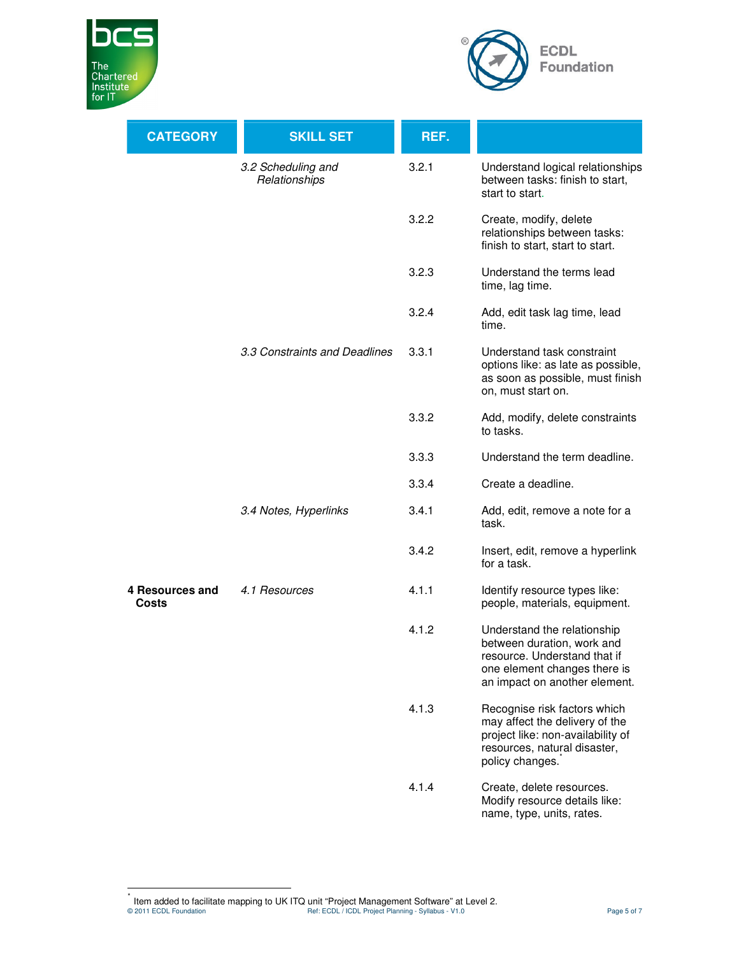



| <b>CATEGORY</b>                 | <b>SKILL SET</b>                    | REF.  |                                                                                                                                                            |
|---------------------------------|-------------------------------------|-------|------------------------------------------------------------------------------------------------------------------------------------------------------------|
|                                 | 3.2 Scheduling and<br>Relationships | 3.2.1 | Understand logical relationships<br>between tasks: finish to start,<br>start to start.                                                                     |
|                                 |                                     | 3.2.2 | Create, modify, delete<br>relationships between tasks:<br>finish to start, start to start.                                                                 |
|                                 |                                     | 3.2.3 | Understand the terms lead<br>time, lag time.                                                                                                               |
|                                 |                                     | 3.2.4 | Add, edit task lag time, lead<br>time.                                                                                                                     |
|                                 | 3.3 Constraints and Deadlines       | 3.3.1 | Understand task constraint<br>options like: as late as possible,<br>as soon as possible, must finish<br>on, must start on.                                 |
|                                 |                                     | 3.3.2 | Add, modify, delete constraints<br>to tasks.                                                                                                               |
|                                 |                                     | 3.3.3 | Understand the term deadline.                                                                                                                              |
|                                 |                                     | 3.3.4 | Create a deadline.                                                                                                                                         |
|                                 | 3.4 Notes, Hyperlinks               | 3.4.1 | Add, edit, remove a note for a<br>task.                                                                                                                    |
|                                 |                                     | 3.4.2 | Insert, edit, remove a hyperlink<br>for a task.                                                                                                            |
| 4 Resources and<br><b>Costs</b> | 4.1 Resources                       | 4.1.1 | Identify resource types like:<br>people, materials, equipment.                                                                                             |
|                                 |                                     | 4.1.2 | Understand the relationship<br>between duration, work and<br>resource. Understand that if<br>one element changes there is<br>an impact on another element. |
|                                 |                                     | 4.1.3 | Recognise risk factors which<br>may affect the delivery of the<br>project like: non-availability of<br>resources, natural disaster,<br>policy changes.     |
|                                 |                                     | 4.1.4 | Create, delete resources.<br>Modify resource details like:<br>name, type, units, rates.                                                                    |

© 2011 ECDL Foundation Ref: ECDL / ICDL Project Planning - Syllabus - V1.0 Page 5 of 7 \* Item added to facilitate mapping to UK ITQ unit "Project Management Software" at Level 2.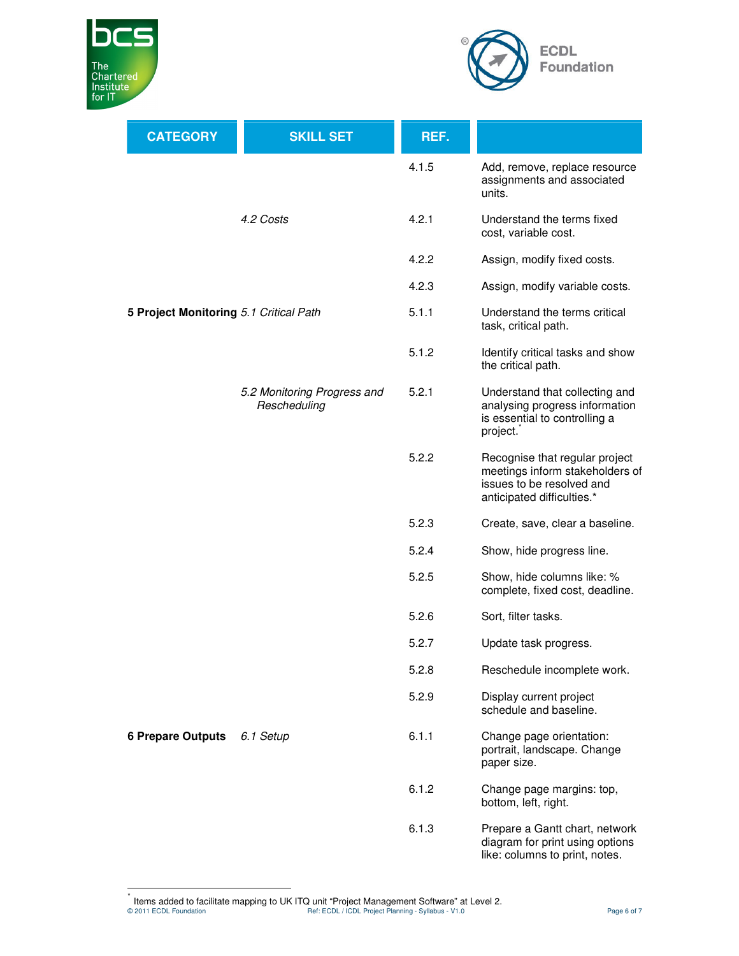



| <b>CATEGORY</b>                        | <b>SKILL SET</b>                            | REF.  |                                                                                                                              |
|----------------------------------------|---------------------------------------------|-------|------------------------------------------------------------------------------------------------------------------------------|
|                                        |                                             | 4.1.5 | Add, remove, replace resource<br>assignments and associated<br>units.                                                        |
|                                        | 4.2 Costs                                   | 4.2.1 | Understand the terms fixed<br>cost, variable cost.                                                                           |
|                                        |                                             | 4.2.2 | Assign, modify fixed costs.                                                                                                  |
|                                        |                                             | 4.2.3 | Assign, modify variable costs.                                                                                               |
| 5 Project Monitoring 5.1 Critical Path |                                             | 5.1.1 | Understand the terms critical<br>task, critical path.                                                                        |
|                                        |                                             | 5.1.2 | Identify critical tasks and show<br>the critical path.                                                                       |
|                                        | 5.2 Monitoring Progress and<br>Rescheduling | 5.2.1 | Understand that collecting and<br>analysing progress information<br>is essential to controlling a<br>project.                |
|                                        |                                             | 5.2.2 | Recognise that regular project<br>meetings inform stakeholders of<br>issues to be resolved and<br>anticipated difficulties.* |
|                                        |                                             | 5.2.3 | Create, save, clear a baseline.                                                                                              |
|                                        |                                             | 5.2.4 | Show, hide progress line.                                                                                                    |
|                                        |                                             | 5.2.5 | Show, hide columns like: %<br>complete, fixed cost, deadline.                                                                |
|                                        |                                             | 5.2.6 | Sort, filter tasks.                                                                                                          |
|                                        |                                             | 5.2.7 | Update task progress.                                                                                                        |
|                                        |                                             | 5.2.8 | Reschedule incomplete work.                                                                                                  |
|                                        |                                             | 5.2.9 | Display current project<br>schedule and baseline.                                                                            |
| <b>6 Prepare Outputs</b>               | 6.1 Setup                                   | 6.1.1 | Change page orientation:<br>portrait, landscape. Change<br>paper size.                                                       |
|                                        |                                             | 6.1.2 | Change page margins: top,<br>bottom, left, right.                                                                            |
|                                        |                                             | 6.1.3 | Prepare a Gantt chart, network<br>diagram for print using options<br>like: columns to print, notes.                          |

© 2011 ECDL Foundation Ref: ECDL / ICDL Project Planning - Syllabus - V1.0 Page 6 of 7 \* Items added to facilitate mapping to UK ITQ unit "Project Management Software" at Level 2.